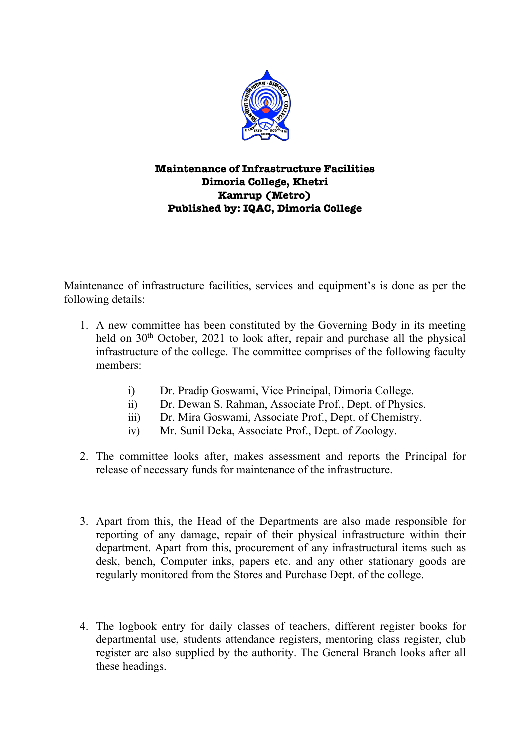

## **Maintenance of Infrastructure Facilities Dimoria College, Khetri Kamrup (Metro) Published by: IQAC, Dimoria College**

Maintenance of infrastructure facilities, services and equipment's is done as per the following details:

- 1. A new committee has been constituted by the Governing Body in its meeting held on  $30<sup>th</sup>$  October, 2021 to look after, repair and purchase all the physical infrastructure of the college. The committee comprises of the following faculty members:
	- i) Dr. Pradip Goswami, Vice Principal, Dimoria College.
	- ii) Dr. Dewan S. Rahman, Associate Prof., Dept. of Physics.
	- iii) Dr. Mira Goswami, Associate Prof., Dept. of Chemistry.
	- iv) Mr. Sunil Deka, Associate Prof., Dept. of Zoology.
- 2. The committee looks after, makes assessment and reports the Principal for release of necessary funds for maintenance of the infrastructure.
- 3. Apart from this, the Head of the Departments are also made responsible for reporting of any damage, repair of their physical infrastructure within their department. Apart from this, procurement of any infrastructural items such as desk, bench, Computer inks, papers etc. and any other stationary goods are regularly monitored from the Stores and Purchase Dept. of the college.
- 4. The logbook entry for daily classes of teachers, different register books for departmental use, students attendance registers, mentoring class register, club register are also supplied by the authority. The General Branch looks after all these headings.